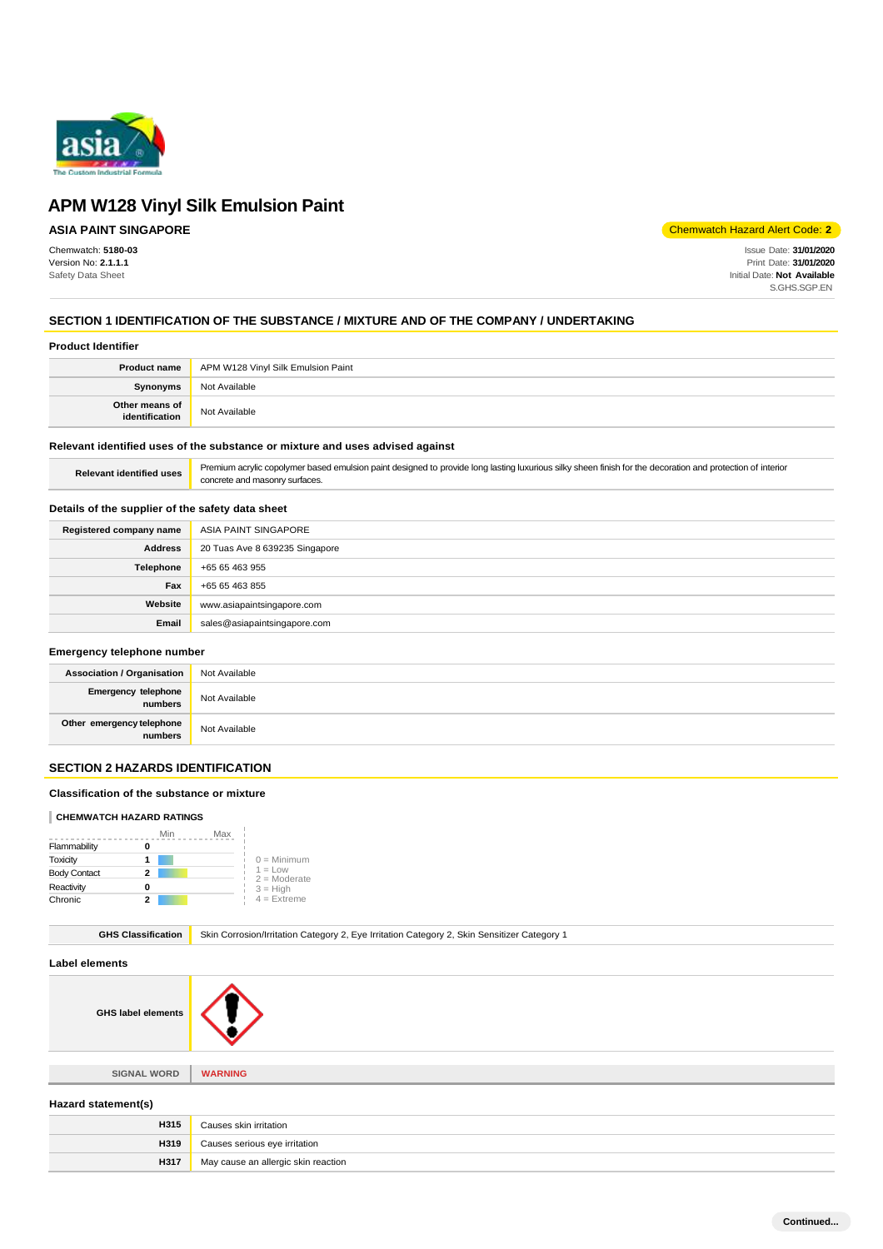

# **ASIA PAINT SINGAPORE**

Chemwatch: **5180-03** Version No: **2.1.1.1** Safety Data Sheet

Chemwatch Hazard Alert Code: **2**

Issue Date: **31/01/2020** Print Date: **31/01/2020** Initial Date: **Not Available** S.GHS.SGP.EN

# **SECTION 1 IDENTIFICATION OF THE SUBSTANCE / MIXTURE AND OF THE COMPANY / UNDERTAKING**

#### **Product Identifier**

| <b>Product name</b>              | APM W128 Vinyl Silk Emulsion Paint |
|----------------------------------|------------------------------------|
| Synonyms                         | Not Available                      |
| Other means of<br>identification | Not Available                      |

### **Relevant identified uses of the substance or mixture and uses advised against**

| Relevant identified uses | Premium acrylic copolymer based emulsion paint designed to provide long lasting luxurious silky sheen finish for the decoration and protection of interior |
|--------------------------|------------------------------------------------------------------------------------------------------------------------------------------------------------|
|                          | concrete and masonry surfaces.                                                                                                                             |

#### **Details of the supplier of the safety data sheet**

| Registered company name | ASIA PAINT SINGAPORE           |
|-------------------------|--------------------------------|
| <b>Address</b>          | 20 Tuas Ave 8 639235 Singapore |
| Telephone               | +65 65 463 955                 |
| Fax                     | +65 65 463 855                 |
| Website                 | www.asiapaintsingapore.com     |
| Email                   | sales@asiapaintsingapore.com   |

#### **Emergency telephone number**

| <b>Association / Organisation</b>               | Not Available |
|-------------------------------------------------|---------------|
| Emergency telephone<br>numbers<br>Not Available |               |
| Other emergency telephone<br>numbers            | Not Available |

# **SECTION 2 HAZARDS IDENTIFICATION**

#### **Classification of the substance or mixture**

#### **CHEMWATCH HAZARD RATINGS**

|                     | Min | Max |                              |
|---------------------|-----|-----|------------------------------|
| Flammability        |     |     |                              |
| Toxicity            |     |     | $0 =$ Minimum                |
| <b>Body Contact</b> | 2   |     | $1 = L$ ow<br>$2 =$ Moderate |
| Reactivity          | o   |     | $3 = High$                   |
| Chronic             | 2   |     | $4 =$ Extreme                |

**GHS Classification** Skin Corrosion/Irritation Category 2, Eye Irritation Category 2, Skin Sensitizer Category 1

#### **Label elements**

**GHS label elements**



**SIGNAL WORD WARNING**

# **Hazard statement(s)**

| H315 | Causes skin irritation              |
|------|-------------------------------------|
| H319 | Causes serious eye irritation       |
| H317 | May cause an allergic skin reaction |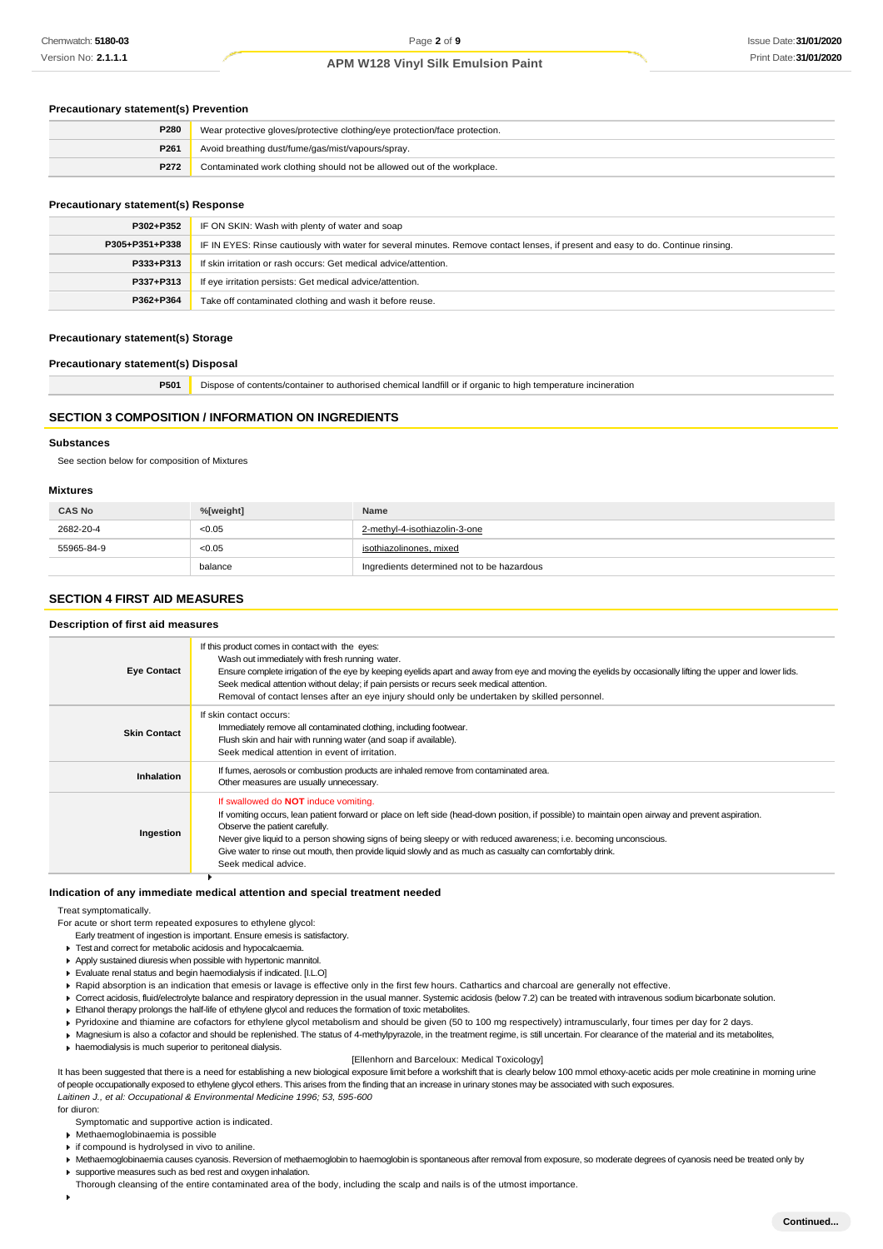#### **Precautionary statement(s) Prevention**

| P280 | Wear protective gloves/protective clothing/eye protection/face protection. |
|------|----------------------------------------------------------------------------|
| P261 | Avoid breathing dust/fume/gas/mist/vapours/spray.                          |
| P272 | Contaminated work clothing should not be allowed out of the workplace.     |

#### **Precautionary statement(s) Response**

| P302+P352      | IF ON SKIN: Wash with plenty of water and soap                                                                                   |
|----------------|----------------------------------------------------------------------------------------------------------------------------------|
| P305+P351+P338 | IF IN EYES: Rinse cautiously with water for several minutes. Remove contact lenses, if present and easy to do. Continue rinsing. |
| P333+P313      | If skin irritation or rash occurs: Get medical advice/attention.                                                                 |
| P337+P313      | If eye irritation persists: Get medical advice/attention.                                                                        |
| P362+P364      | Take off contaminated clothing and wash it before reuse.                                                                         |

#### **Precautionary statement(s) Storage**

#### **Precautionary statement(s) Disposal**

**P501** Dispose of contents/container to authorised chemical landfill or if organic to high temperature incineration

# **SECTION 3 COMPOSITION / INFORMATION ON INGREDIENTS**

#### **Substances**

See section below for composition of Mixtures

#### **Mixtures**

| <b>CAS No</b> | %[weight] | Name                                       |
|---------------|-----------|--------------------------------------------|
| 2682-20-4     | < 0.05    | 2-methyl-4-isothiazolin-3-one              |
| 55965-84-9    | < 0.05    | isothiazolinones, mixed                    |
|               | balance   | Ingredients determined not to be hazardous |

#### **SECTION 4 FIRST AID MEASURES**

# **Description of first aid measures**

| If this product comes in contact with the eyes:<br>Wash out immediately with fresh running water.<br>Ensure complete irrigation of the eye by keeping eyelids apart and away from eye and moving the eyelids by occasionally lifting the upper and lower lids.<br>Seek medical attention without delay; if pain persists or recurs seek medical attention.<br>Removal of contact lenses after an eye injury should only be undertaken by skilled personnel.                                |
|--------------------------------------------------------------------------------------------------------------------------------------------------------------------------------------------------------------------------------------------------------------------------------------------------------------------------------------------------------------------------------------------------------------------------------------------------------------------------------------------|
| If skin contact occurs:<br>Immediately remove all contaminated clothing, including footwear.<br>Flush skin and hair with running water (and soap if available).<br>Seek medical attention in event of irritation.                                                                                                                                                                                                                                                                          |
| If fumes, aerosols or combustion products are inhaled remove from contaminated area.<br>Other measures are usually unnecessary.                                                                                                                                                                                                                                                                                                                                                            |
| If swallowed do <b>NOT</b> induce vomiting.<br>If vomiting occurs, lean patient forward or place on left side (head-down position, if possible) to maintain open airway and prevent aspiration.<br>Observe the patient carefully.<br>Never give liquid to a person showing signs of being sleepy or with reduced awareness; i.e. becoming unconscious.<br>Give water to rinse out mouth, then provide liquid slowly and as much as casualty can comfortably drink.<br>Seek medical advice. |
|                                                                                                                                                                                                                                                                                                                                                                                                                                                                                            |

#### **Indication of any immediate medical attention and special treatment needed**

Treat symptomatically.

- For acute or short term repeated exposures to ethylene glycol:
	- Early treatment of ingestion is important. Ensure emesis is satisfactory.
	- Test and correct for metabolic acidosis and hypocalcaemia.
- Apply sustained diuresis when possible with hypertonic mannitol. Evaluate renal status and begin haemodialysis if indicated. [I.L.O]
- Rapid absorption is an indication that emesis or lavage is effective only in the first few hours. Cathartics and charcoal are generally not effective.
- ▶ Correct acidosis, fluid/electrolyte balance and respiratory depression in the usual manner. Systemic acidosis (below 7.2) can be treated with intravenous sodium bicarbonate solution.
- Ethanol therapy prolongs the half-life of ethylene glycol and reduces the formation of toxic metabolites.
- Pyridoxine and thiamine are cofactors for ethylene glycol metabolism and should be given (50 to 100 mg respectively) intramuscularly, four times per day for 2 days.
- ▶ Magnesium is also a cofactor and should be replenished. The status of 4-methylpyrazole, in the treatment regime, is still uncertain. For clearance of the material and its metabolites,
- haemodialysis is much superior to peritoneal dialysis.

#### [Ellenhorn and Barceloux: Medical Toxicology]

It has been suggested that there is a need for establishing a new biological exposure limit before a workshift that is clearly below 100 mmol ethoxy-acetic acids per mole creatinine in morning urine of people occupationally exposed to ethylene glycol ethers. This arises from the finding that an increase in urinary stones may be associated with such exposures. *Laitinen J., et al: Occupational & Environmental Medicine 1996; 53, 595-600*

for diuron:

- Symptomatic and supportive action is indicated.
- Methaemoglobinaemia is possible
- $\triangleright$  if compound is hydrolysed in vivo to aniline.
- Kimathaemoglobinaemia causes cyanosis. Reversion of methaemoglobin to haemoglobin is spontaneous after removal from exposure, so moderate degrees of cyanosis need be treated only by supportive measures such as bed rest and oxygen inhalation.
- Thorough cleansing of the entire contaminated area of the body, including the scalp and nails is of the utmost importance.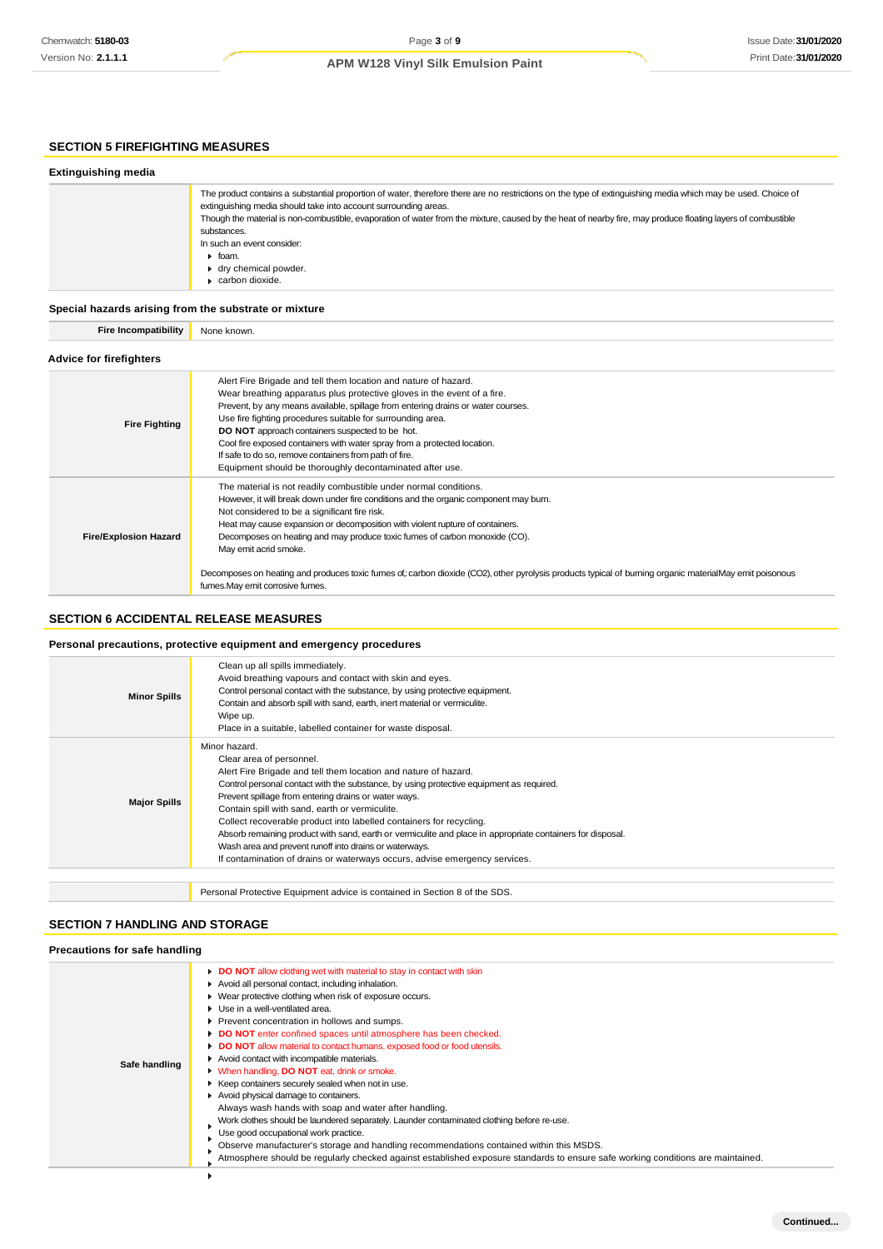# **SECTION 5 FIREFIGHTING MEASURES**

| <b>Extinguishing media</b> |                                                                                                                                                                                                                                                                                                                                                                                                                                                                                                      |
|----------------------------|------------------------------------------------------------------------------------------------------------------------------------------------------------------------------------------------------------------------------------------------------------------------------------------------------------------------------------------------------------------------------------------------------------------------------------------------------------------------------------------------------|
|                            | The product contains a substantial proportion of water, therefore there are no restrictions on the type of extinguishing media which may be used. Choice of<br>extinguishing media should take into account surrounding areas.<br>Though the material is non-combustible, evaporation of water from the mixture, caused by the heat of nearby fire, may produce floating layers of combustible<br>substances.<br>In such an event consider:<br>$\blacktriangleright$ foam.<br>► dry chemical powder. |
|                            | carbon dioxide.                                                                                                                                                                                                                                                                                                                                                                                                                                                                                      |

**Special hazards arising from the substrate or mixture**

**Fire Incompatibility** None known.

# **Advice for firefighters**

| <b>Fire Fighting</b>         | Alert Fire Brigade and tell them location and nature of hazard.<br>Wear breathing apparatus plus protective gloves in the event of a fire.<br>Prevent, by any means available, spillage from entering drains or water courses.<br>Use fire fighting procedures suitable for surrounding area.<br><b>DO NOT</b> approach containers suspected to be hot.<br>Cool fire exposed containers with water spray from a protected location.<br>If safe to do so, remove containers from path of fire.<br>Equipment should be thoroughly decontaminated after use.                                         |
|------------------------------|---------------------------------------------------------------------------------------------------------------------------------------------------------------------------------------------------------------------------------------------------------------------------------------------------------------------------------------------------------------------------------------------------------------------------------------------------------------------------------------------------------------------------------------------------------------------------------------------------|
| <b>Fire/Explosion Hazard</b> | The material is not readily combustible under normal conditions.<br>However, it will break down under fire conditions and the organic component may burn.<br>Not considered to be a significant fire risk.<br>Heat may cause expansion or decomposition with violent rupture of containers.<br>Decomposes on heating and may produce toxic fumes of carbon monoxide (CO).<br>May emit acrid smoke.<br>Decomposes on heating and produces toxic fumes of: carbon dioxide (CO2), other pyrolysis products typical of burning organic materialMay emit poisonous<br>fumes. May emit corrosive fumes. |

# **SECTION 6 ACCIDENTAL RELEASE MEASURES**

## **Personal precautions, protective equipment and emergency procedures**

| <b>Minor Spills</b> | Clean up all spills immediately.<br>Avoid breathing vapours and contact with skin and eyes.<br>Control personal contact with the substance, by using protective equipment.<br>Contain and absorb spill with sand, earth, inert material or vermiculite.<br>Wipe up.<br>Place in a suitable, labelled container for waste disposal.                                                                                                                                                                                                                                                                                                             |
|---------------------|------------------------------------------------------------------------------------------------------------------------------------------------------------------------------------------------------------------------------------------------------------------------------------------------------------------------------------------------------------------------------------------------------------------------------------------------------------------------------------------------------------------------------------------------------------------------------------------------------------------------------------------------|
| <b>Major Spills</b> | Minor hazard.<br>Clear area of personnel.<br>Alert Fire Brigade and tell them location and nature of hazard.<br>Control personal contact with the substance, by using protective equipment as required.<br>Prevent spillage from entering drains or water ways.<br>Contain spill with sand, earth or vermiculite.<br>Collect recoverable product into labelled containers for recycling.<br>Absorb remaining product with sand, earth or vermiculite and place in appropriate containers for disposal.<br>Wash area and prevent runoff into drains or waterways.<br>If contamination of drains or waterways occurs, advise emergency services. |
|                     |                                                                                                                                                                                                                                                                                                                                                                                                                                                                                                                                                                                                                                                |

Personal Protective Equipment advice is contained in Section 8 of the SDS.

# **SECTION 7 HANDLING AND STORAGE**

### **Precautions for safe handling**

| Safe handling | DO NOT allow clothing wet with material to stay in contact with skin<br>Avoid all personal contact, including inhalation.<br>▶ Wear protective clothing when risk of exposure occurs.<br>▶ Use in a well-ventilated area.<br>Prevent concentration in hollows and sumps.<br>DO NOT enter confined spaces until atmosphere has been checked.<br>DO NOT allow material to contact humans, exposed food or food utensils.<br>Avoid contact with incompatible materials.<br><b>When handling, DO NOT eat, drink or smoke.</b><br>▶ Keep containers securely sealed when not in use.<br>Avoid physical damage to containers.<br>Always wash hands with soap and water after handling.<br>Work clothes should be laundered separately. Launder contaminated clothing before re-use.<br>Use good occupational work practice.<br>Observe manufacturer's storage and handling recommendations contained within this MSDS.<br>Atmosphere should be regularly checked against established exposure standards to ensure safe working conditions are maintained. |
|---------------|-----------------------------------------------------------------------------------------------------------------------------------------------------------------------------------------------------------------------------------------------------------------------------------------------------------------------------------------------------------------------------------------------------------------------------------------------------------------------------------------------------------------------------------------------------------------------------------------------------------------------------------------------------------------------------------------------------------------------------------------------------------------------------------------------------------------------------------------------------------------------------------------------------------------------------------------------------------------------------------------------------------------------------------------------------|
|               |                                                                                                                                                                                                                                                                                                                                                                                                                                                                                                                                                                                                                                                                                                                                                                                                                                                                                                                                                                                                                                                     |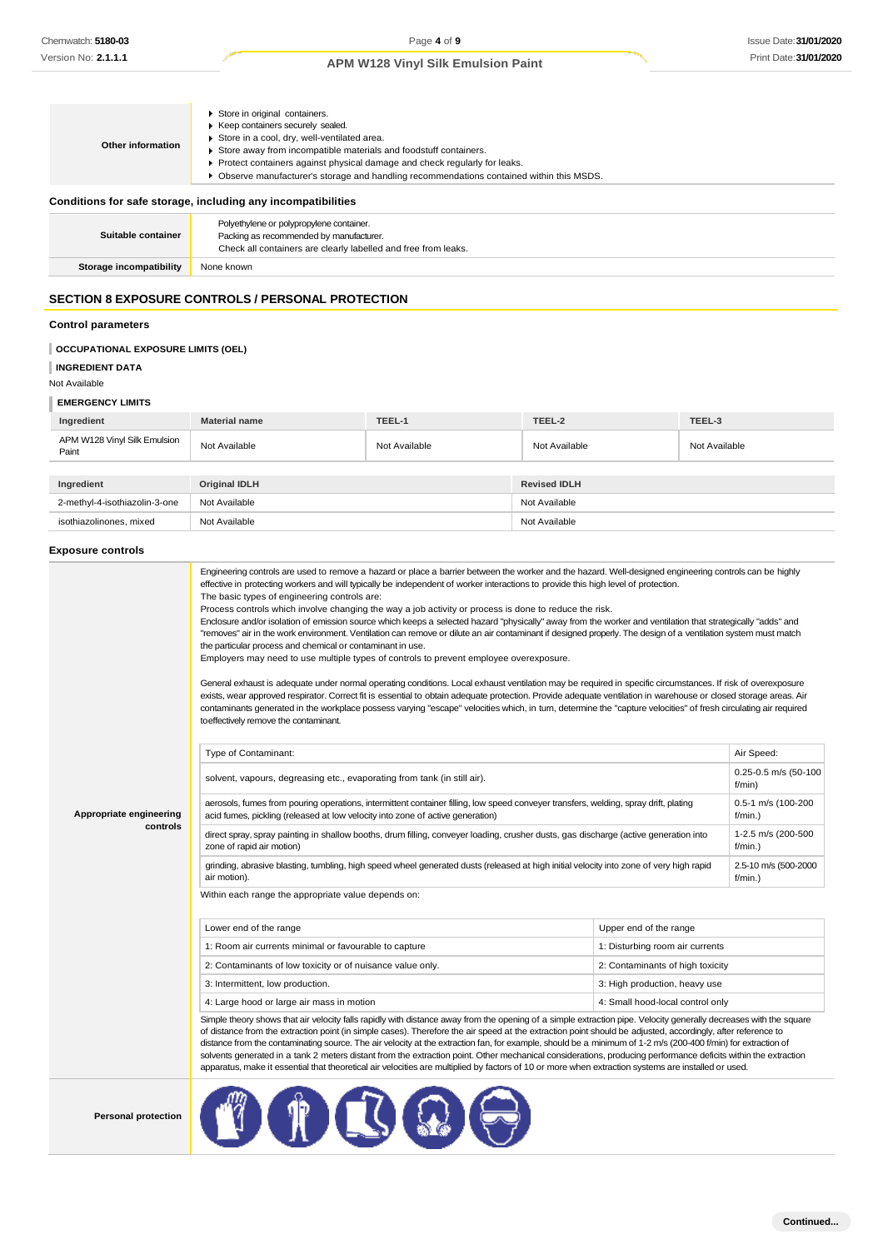| Other information                                            | Store in original containers.<br>▶ Keep containers securely sealed.<br>Store in a cool, dry, well-ventilated area.<br>Store away from incompatible materials and foodstuff containers.<br>Protect containers against physical damage and check regularly for leaks.<br>▶ Observe manufacturer's storage and handling recommendations contained within this MSDS. |  |
|--------------------------------------------------------------|------------------------------------------------------------------------------------------------------------------------------------------------------------------------------------------------------------------------------------------------------------------------------------------------------------------------------------------------------------------|--|
| Conditions for safe storage, including any incompatibilities |                                                                                                                                                                                                                                                                                                                                                                  |  |
| Suitable container                                           | Polyethylene or polypropylene container.<br>Packing as recommended by manufacturer.<br>Check all containers are clearly labelled and free from leaks.                                                                                                                                                                                                            |  |
| Storage incompatibility                                      | None known                                                                                                                                                                                                                                                                                                                                                       |  |
|                                                              | <b>SECTION 8 EXPOSURE CONTROLS / PERSONAL PROTECTION</b>                                                                                                                                                                                                                                                                                                         |  |

#### **Control parameters**

# **OCCUPATIONAL EXPOSURE LIMITS (OEL)**

**INGREDIENT DATA**

# Not Available

**EMERGENCY LIMITS**

| Ingredient                            | <b>Material name</b> | TEEL-1        | TEEL-2              | TEEL-3        |
|---------------------------------------|----------------------|---------------|---------------------|---------------|
| APM W128 Vinyl Silk Emulsion<br>Paint | Not Available        | Not Available | Not Available       | Not Available |
|                                       |                      |               |                     |               |
| Ingredient                            | <b>Original IDLH</b> |               | <b>Revised IDLH</b> |               |
| 2-methyl-4-isothiazolin-3-one         | Not Available        |               | Not Available       |               |
| isothiazolinones, mixed               | Not Available        |               | Not Available       |               |

### **Exposure controls**

|                         | Engineering controls are used to remove a hazard or place a barrier between the worker and the hazard. Well-designed engineering controls can be highly<br>effective in protecting workers and will typically be independent of worker interactions to provide this high level of protection.<br>The basic types of engineering controls are:<br>Process controls which involve changing the way a job activity or process is done to reduce the risk.<br>Enclosure and/or isolation of emission source which keeps a selected hazard "physically" away from the worker and ventilation that strategically "adds" and<br>"removes" air in the work environment. Ventilation can remove or dilute an air contaminant if designed properly. The design of a ventilation system must match<br>the particular process and chemical or contaminant in use.<br>Employers may need to use multiple types of controls to prevent employee overexposure.<br>General exhaust is adequate under normal operating conditions. Local exhaust ventilation may be required in specific circumstances. If risk of overexposure<br>exists, wear approved respirator. Correct fit is essential to obtain adequate protection. Provide adequate ventilation in warehouse or closed storage areas. Air<br>contaminants generated in the workplace possess varying "escape" velocities which, in turn, determine the "capture velocities" of fresh circulating air required<br>to effectively remove the contaminant. |                                  |                                    |
|-------------------------|--------------------------------------------------------------------------------------------------------------------------------------------------------------------------------------------------------------------------------------------------------------------------------------------------------------------------------------------------------------------------------------------------------------------------------------------------------------------------------------------------------------------------------------------------------------------------------------------------------------------------------------------------------------------------------------------------------------------------------------------------------------------------------------------------------------------------------------------------------------------------------------------------------------------------------------------------------------------------------------------------------------------------------------------------------------------------------------------------------------------------------------------------------------------------------------------------------------------------------------------------------------------------------------------------------------------------------------------------------------------------------------------------------------------------------------------------------------------------------------------------|----------------------------------|------------------------------------|
|                         | Type of Contaminant:                                                                                                                                                                                                                                                                                                                                                                                                                                                                                                                                                                                                                                                                                                                                                                                                                                                                                                                                                                                                                                                                                                                                                                                                                                                                                                                                                                                                                                                                             |                                  | Air Speed:                         |
|                         | solvent, vapours, degreasing etc., evaporating from tank (in still air).                                                                                                                                                                                                                                                                                                                                                                                                                                                                                                                                                                                                                                                                                                                                                                                                                                                                                                                                                                                                                                                                                                                                                                                                                                                                                                                                                                                                                         |                                  | 0.25-0.5 m/s (50-100<br>f/min)     |
| Appropriate engineering | aerosols, fumes from pouring operations, intermittent container filling, low speed conveyer transfers, welding, spray drift, plating<br>acid fumes, pickling (released at low velocity into zone of active generation)                                                                                                                                                                                                                                                                                                                                                                                                                                                                                                                                                                                                                                                                                                                                                                                                                                                                                                                                                                                                                                                                                                                                                                                                                                                                           |                                  | 0.5-1 m/s (100-200<br>$f/min.$ )   |
| controls                | direct spray, spray painting in shallow booths, drum filling, conveyer loading, crusher dusts, gas discharge (active generation into<br>zone of rapid air motion)                                                                                                                                                                                                                                                                                                                                                                                                                                                                                                                                                                                                                                                                                                                                                                                                                                                                                                                                                                                                                                                                                                                                                                                                                                                                                                                                |                                  | 1-2.5 m/s (200-500<br>$f/min.$ )   |
|                         | grinding, abrasive blasting, tumbling, high speed wheel generated dusts (released at high initial velocity into zone of very high rapid<br>air motion).                                                                                                                                                                                                                                                                                                                                                                                                                                                                                                                                                                                                                                                                                                                                                                                                                                                                                                                                                                                                                                                                                                                                                                                                                                                                                                                                          |                                  | 2.5-10 m/s (500-2000<br>$f/min.$ ) |
|                         | Within each range the appropriate value depends on:                                                                                                                                                                                                                                                                                                                                                                                                                                                                                                                                                                                                                                                                                                                                                                                                                                                                                                                                                                                                                                                                                                                                                                                                                                                                                                                                                                                                                                              |                                  |                                    |
|                         | Lower end of the range                                                                                                                                                                                                                                                                                                                                                                                                                                                                                                                                                                                                                                                                                                                                                                                                                                                                                                                                                                                                                                                                                                                                                                                                                                                                                                                                                                                                                                                                           | Upper end of the range           |                                    |
|                         | 1: Room air currents minimal or favourable to capture                                                                                                                                                                                                                                                                                                                                                                                                                                                                                                                                                                                                                                                                                                                                                                                                                                                                                                                                                                                                                                                                                                                                                                                                                                                                                                                                                                                                                                            | 1: Disturbing room air currents  |                                    |
|                         | 2: Contaminants of low toxicity or of nuisance value only.                                                                                                                                                                                                                                                                                                                                                                                                                                                                                                                                                                                                                                                                                                                                                                                                                                                                                                                                                                                                                                                                                                                                                                                                                                                                                                                                                                                                                                       | 2: Contaminants of high toxicity |                                    |
|                         | 3: Intermittent, low production.                                                                                                                                                                                                                                                                                                                                                                                                                                                                                                                                                                                                                                                                                                                                                                                                                                                                                                                                                                                                                                                                                                                                                                                                                                                                                                                                                                                                                                                                 | 3: High production, heavy use    |                                    |
|                         | 4: Large hood or large air mass in motion                                                                                                                                                                                                                                                                                                                                                                                                                                                                                                                                                                                                                                                                                                                                                                                                                                                                                                                                                                                                                                                                                                                                                                                                                                                                                                                                                                                                                                                        | 4: Small hood-local control only |                                    |
|                         | Simple theory shows that air velocity falls rapidly with distance away from the opening of a simple extraction pipe. Velocity generally decreases with the square<br>of distance from the extraction point (in simple cases). Therefore the air speed at the extraction point should be adjusted, accordingly, after reference to<br>distance from the contaminating source. The air velocity at the extraction fan, for example, should be a minimum of 1-2 $m/s$ (200-400 f/min) for extraction of<br>solvents generated in a tank 2 meters distant from the extraction point. Other mechanical considerations, producing performance deficits within the extraction<br>apparatus, make it essential that theoretical air velocities are multiplied by factors of 10 or more when extraction systems are installed or used.                                                                                                                                                                                                                                                                                                                                                                                                                                                                                                                                                                                                                                                                    |                                  |                                    |
|                         | m                                                                                                                                                                                                                                                                                                                                                                                                                                                                                                                                                                                                                                                                                                                                                                                                                                                                                                                                                                                                                                                                                                                                                                                                                                                                                                                                                                                                                                                                                                |                                  |                                    |

**Personal protection**

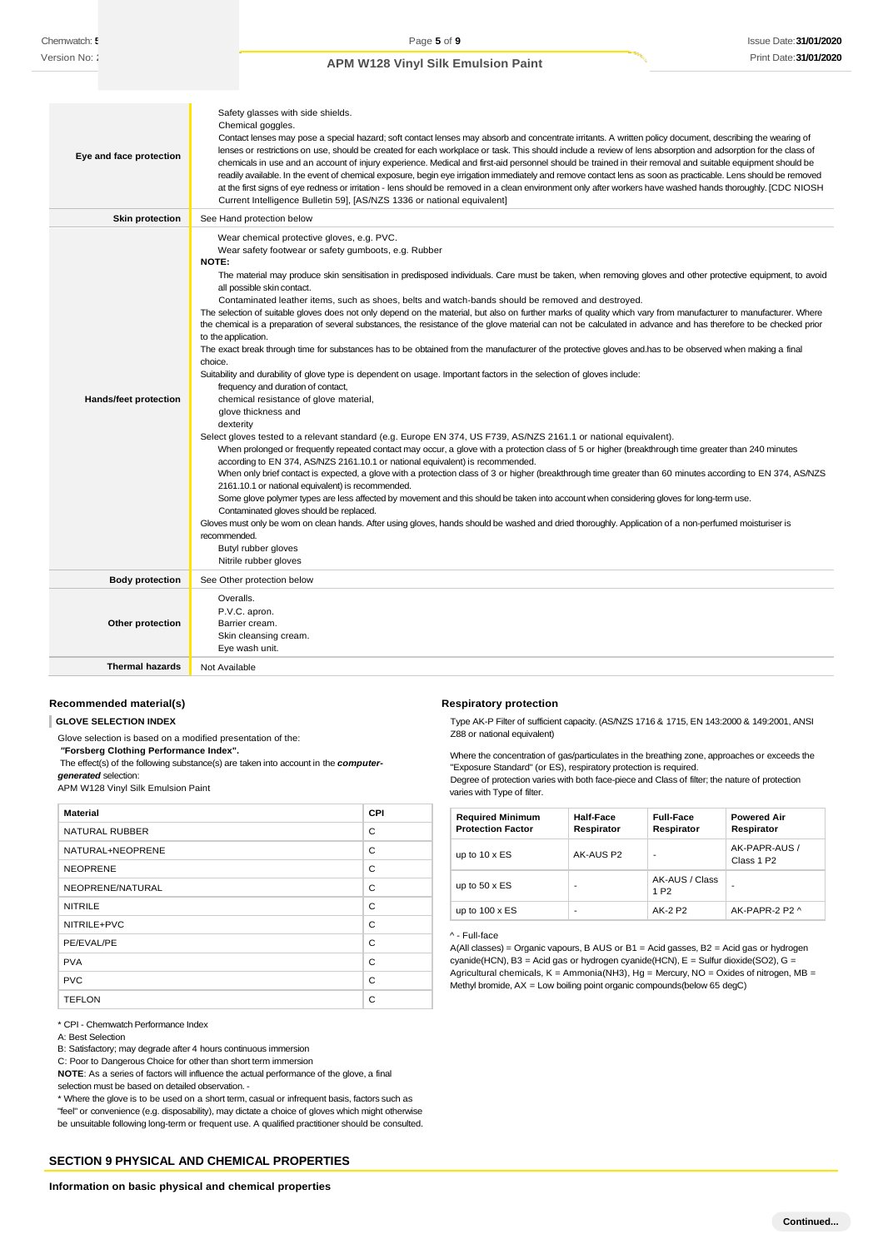| Eye and face protection      | Safety glasses with side shields.<br>Chemical goggles.<br>Contact lenses may pose a special hazard; soft contact lenses may absorb and concentrate irritants. A written policy document, describing the wearing of<br>lenses or restrictions on use, should be created for each workplace or task. This should include a review of lens absorption and adsorption for the class of<br>chemicals in use and an account of injury experience. Medical and first-aid personnel should be trained in their removal and suitable equipment should be<br>readily available. In the event of chemical exposure, begin eye irrigation immediately and remove contact lens as soon as practicable. Lens should be removed<br>at the first signs of eye redness or irritation - lens should be removed in a clean environment only after workers have washed hands thoroughly. [CDC NIOSH<br>Current Intelligence Bulletin 59], [AS/NZS 1336 or national equivalent]                                                                                                                                                                                                                                                                                                                                                                                                                                                                                                                                                                                                                                                                                                                                                                                                                                                                                                                                                                                                                                                                                                                                                                                                                                         |
|------------------------------|----------------------------------------------------------------------------------------------------------------------------------------------------------------------------------------------------------------------------------------------------------------------------------------------------------------------------------------------------------------------------------------------------------------------------------------------------------------------------------------------------------------------------------------------------------------------------------------------------------------------------------------------------------------------------------------------------------------------------------------------------------------------------------------------------------------------------------------------------------------------------------------------------------------------------------------------------------------------------------------------------------------------------------------------------------------------------------------------------------------------------------------------------------------------------------------------------------------------------------------------------------------------------------------------------------------------------------------------------------------------------------------------------------------------------------------------------------------------------------------------------------------------------------------------------------------------------------------------------------------------------------------------------------------------------------------------------------------------------------------------------------------------------------------------------------------------------------------------------------------------------------------------------------------------------------------------------------------------------------------------------------------------------------------------------------------------------------------------------------------------------------------------------------------------------------------------------|
| Skin protection              | See Hand protection below                                                                                                                                                                                                                                                                                                                                                                                                                                                                                                                                                                                                                                                                                                                                                                                                                                                                                                                                                                                                                                                                                                                                                                                                                                                                                                                                                                                                                                                                                                                                                                                                                                                                                                                                                                                                                                                                                                                                                                                                                                                                                                                                                                          |
| <b>Hands/feet protection</b> | Wear chemical protective gloves, e.g. PVC.<br>Wear safety footwear or safety gumboots, e.g. Rubber<br><b>NOTE:</b><br>The material may produce skin sensitisation in predisposed individuals. Care must be taken, when removing gloves and other protective equipment, to avoid<br>all possible skin contact.<br>Contaminated leather items, such as shoes, belts and watch-bands should be removed and destroyed.<br>The selection of suitable gloves does not only depend on the material, but also on further marks of quality which vary from manufacturer to manufacturer. Where<br>the chemical is a preparation of several substances, the resistance of the glove material can not be calculated in advance and has therefore to be checked prior<br>to the application.<br>The exact break through time for substances has to be obtained from the manufacturer of the protective gloves and has to be observed when making a final<br>choice.<br>Suitability and durability of glove type is dependent on usage. Important factors in the selection of gloves include:<br>frequency and duration of contact,<br>chemical resistance of glove material,<br>glove thickness and<br>dexterity<br>Select gloves tested to a relevant standard (e.g. Europe EN 374, US F739, AS/NZS 2161.1 or national equivalent).<br>When prolonged or frequently repeated contact may occur, a glove with a protection class of 5 or higher (breakthrough time greater than 240 minutes<br>according to EN 374, AS/NZS 2161.10.1 or national equivalent) is recommended.<br>When only brief contact is expected, a glove with a protection class of 3 or higher (breakthrough time greater than 60 minutes according to EN 374, AS/NZS<br>2161.10.1 or national equivalent) is recommended.<br>Some glove polymer types are less affected by movement and this should be taken into account when considering gloves for long-term use.<br>Contaminated gloves should be replaced.<br>Gloves must only be wom on clean hands. After using gloves, hands should be washed and dried thoroughly. Application of a non-perfumed moisturiser is<br>recommended.<br>Butyl rubber gloves<br>Nitrile rubber gloves |
| <b>Body protection</b>       | See Other protection below                                                                                                                                                                                                                                                                                                                                                                                                                                                                                                                                                                                                                                                                                                                                                                                                                                                                                                                                                                                                                                                                                                                                                                                                                                                                                                                                                                                                                                                                                                                                                                                                                                                                                                                                                                                                                                                                                                                                                                                                                                                                                                                                                                         |
| Other protection             | Overalls.<br>P.V.C. apron.<br>Barrier cream.<br>Skin cleansing cream.<br>Eye wash unit.                                                                                                                                                                                                                                                                                                                                                                                                                                                                                                                                                                                                                                                                                                                                                                                                                                                                                                                                                                                                                                                                                                                                                                                                                                                                                                                                                                                                                                                                                                                                                                                                                                                                                                                                                                                                                                                                                                                                                                                                                                                                                                            |
| <b>Thermal hazards</b>       | Not Available                                                                                                                                                                                                                                                                                                                                                                                                                                                                                                                                                                                                                                                                                                                                                                                                                                                                                                                                                                                                                                                                                                                                                                                                                                                                                                                                                                                                                                                                                                                                                                                                                                                                                                                                                                                                                                                                                                                                                                                                                                                                                                                                                                                      |

# **Recommended material(s)**

**GLOVE SELECTION INDEX**

Glove selection is based on a modified presentation of the:

*"***Forsberg Clothing Performance Index".**

The effect(s) of the following substance(s) are taken into account in the *computergenerated* selection:

APM W128 Vinyl Silk Emulsion Paint

| <b>Material</b>  | CPI |
|------------------|-----|
| NATURAL RUBBER   | C   |
| NATURAL+NEOPRENE | C   |
| <b>NEOPRENE</b>  | C   |
| NEOPRENE/NATURAL | C   |
| <b>NITRILE</b>   | C   |
| NITRILE+PVC      | C   |
| PE/EVAL/PE       | C   |
| <b>PVA</b>       | C   |
| <b>PVC</b>       | C   |
| <b>TEFLON</b>    | C   |

#### \* CPI - Chemwatch Performance Index

A: Best Selection

B: Satisfactory; may degrade after 4 hours continuous immersion

C: Poor to Dangerous Choice for other than short term immersion

**NOTE**: As a series of factors will influence the actual performance of the glove, a final selection must be based on detailed observation. -

\* Where the glove is to be used on a short term, casual or infrequent basis, factors such as "feel" or convenience (e.g. disposability), may dictate a choice of gloves which might otherwise be unsuitable following long-term or frequent use. A qualified practitioner should be consulted.

### **SECTION 9 PHYSICAL AND CHEMICAL PROPERTIES**

#### Type AK-P Filter of sufficient capacity. (AS/NZS 1716 & 1715, EN 143:2000 & 149:2001, ANSI Z88 or national equivalent)

Where the concentration of gas/particulates in the breathing zone, approaches or exceeds the "Exposure Standard" (or ES), respiratory protection is required.

Degree of protection varies with both face-piece and Class of filter; the nature of protection varies with Type of filter.

| <b>Required Minimum</b><br><b>Protection Factor</b> | Half-Face<br>Respirator | <b>Full-Face</b><br>Respirator     | <b>Powered Air</b><br>Respirator        |
|-----------------------------------------------------|-------------------------|------------------------------------|-----------------------------------------|
| up to $10 \times ES$                                | AK-AUS P2               | ٠                                  | AK-PAPR-AUS /<br>Class 1 P <sub>2</sub> |
| up to $50 \times ES$                                |                         | AK-AUS / Class<br>1 P <sub>2</sub> |                                         |
| up to $100 \times ES$                               |                         | AK-2 P2                            | AK-PAPR-2 P2 ^                          |

#### ^ - Full-face

**Respiratory protection**

A(All classes) = Organic vapours, B AUS or B1 = Acid gasses, B2 = Acid gas or hydrogen cyanide(HCN), B3 = Acid gas or hydrogen cyanide(HCN), E = Sulfur dioxide(SO2), G = Agricultural chemicals,  $K =$  Ammonia(NH3), Hg = Mercury, NO = Oxides of nitrogen, MB = Methyl bromide, AX = Low boiling point organic compounds(below 65 degC)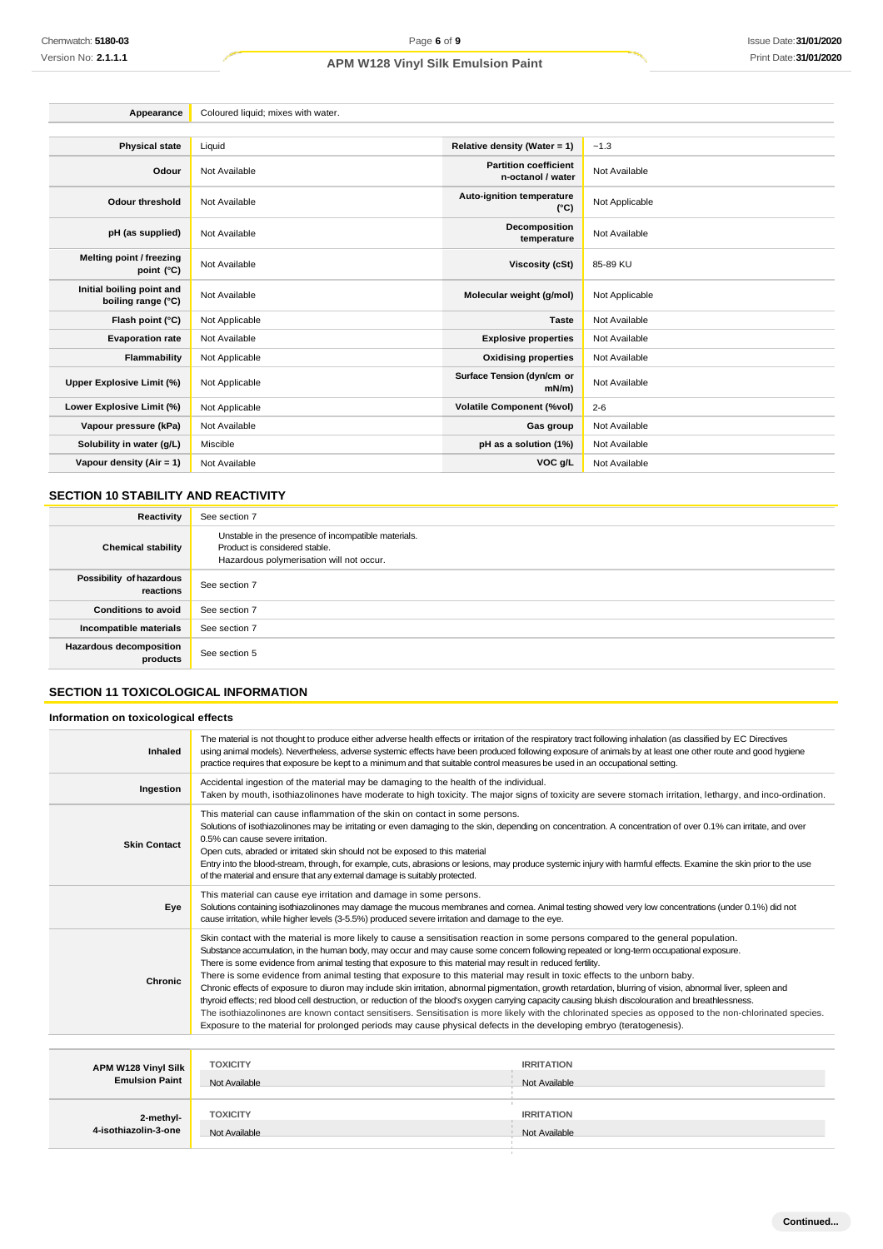| Appearance                                      | Coloured liquid; mixes with water. |                                                   |                |
|-------------------------------------------------|------------------------------------|---------------------------------------------------|----------------|
|                                                 |                                    |                                                   |                |
| <b>Physical state</b>                           | Liquid                             | Relative density (Water = 1)                      | $-1.3$         |
| Odour                                           | Not Available                      | <b>Partition coefficient</b><br>n-octanol / water | Not Available  |
| <b>Odour threshold</b>                          | Not Available                      | Auto-ignition temperature<br>$(^{\circ}C)$        | Not Applicable |
| pH (as supplied)                                | Not Available                      | Decomposition<br>temperature                      | Not Available  |
| Melting point / freezing<br>point (°C)          | Not Available                      | <b>Viscosity (cSt)</b>                            | 85-89 KU       |
| Initial boiling point and<br>boiling range (°C) | Not Available                      | Molecular weight (g/mol)                          | Not Applicable |
| Flash point (°C)                                | Not Applicable                     | <b>Taste</b>                                      | Not Available  |
| <b>Evaporation rate</b>                         | Not Available                      | <b>Explosive properties</b>                       | Not Available  |
| Flammability                                    | Not Applicable                     | <b>Oxidising properties</b>                       | Not Available  |
| Upper Explosive Limit (%)                       | Not Applicable                     | Surface Tension (dyn/cm or<br>$mN/m$ )            | Not Available  |
| Lower Explosive Limit (%)                       | Not Applicable                     | <b>Volatile Component (%vol)</b>                  | $2 - 6$        |
| Vapour pressure (kPa)                           | Not Available                      | Gas group                                         | Not Available  |
| Solubility in water (g/L)                       | Miscible                           | pH as a solution (1%)                             | Not Available  |
| Vapour density (Air = 1)                        | Not Available                      | VOC g/L                                           | Not Available  |

# **SECTION 10 STABILITY AND REACTIVITY**

| Reactivity                                 | See section 7                                                                                                                    |
|--------------------------------------------|----------------------------------------------------------------------------------------------------------------------------------|
| <b>Chemical stability</b>                  | Unstable in the presence of incompatible materials.<br>Product is considered stable.<br>Hazardous polymerisation will not occur. |
| Possibility of hazardous<br>reactions      | See section 7                                                                                                                    |
| <b>Conditions to avoid</b>                 | See section 7                                                                                                                    |
| Incompatible materials                     | See section 7                                                                                                                    |
| <b>Hazardous decomposition</b><br>products | See section 5                                                                                                                    |

# **SECTION 11 TOXICOLOGICAL INFORMATION**

# **Information on toxicological effects**

**2-methyl-4-isothiazolin-3-one**

| Inhaled                                      | The material is not thought to produce either adverse health effects or irritation of the respiratory tract following inhalation (as classified by EC Directives<br>using animal models). Nevertheless, adverse systemic effects have been produced following exposure of animals by at least one other route and good hygiene<br>practice requires that exposure be kept to a minimum and that suitable control measures be used in an occupational setting.                                                                                                                                                                                                                                                                                                                                                                                                                                                                                                                                                                                                                                                                      |                                    |
|----------------------------------------------|------------------------------------------------------------------------------------------------------------------------------------------------------------------------------------------------------------------------------------------------------------------------------------------------------------------------------------------------------------------------------------------------------------------------------------------------------------------------------------------------------------------------------------------------------------------------------------------------------------------------------------------------------------------------------------------------------------------------------------------------------------------------------------------------------------------------------------------------------------------------------------------------------------------------------------------------------------------------------------------------------------------------------------------------------------------------------------------------------------------------------------|------------------------------------|
| Ingestion                                    | Accidental ingestion of the material may be damaging to the health of the individual.<br>Taken by mouth, isothiazolinones have moderate to high toxicity. The major signs of toxicity are severe stomach irritation, lethargy, and inco-ordination.                                                                                                                                                                                                                                                                                                                                                                                                                                                                                                                                                                                                                                                                                                                                                                                                                                                                                |                                    |
| <b>Skin Contact</b>                          | This material can cause inflammation of the skin on contact in some persons.<br>Solutions of isothiazolinones may be irritating or even damaging to the skin, depending on concentration. A concentration of over 0.1% can irritate, and over<br>0.5% can cause severe irritation.<br>Open cuts, abraded or irritated skin should not be exposed to this material<br>Entry into the blood-stream, through, for example, cuts, abrasions or lesions, may produce systemic injury with harmful effects. Examine the skin prior to the use<br>of the material and ensure that any external damage is suitably protected.                                                                                                                                                                                                                                                                                                                                                                                                                                                                                                              |                                    |
| Eye                                          | This material can cause eye irritation and damage in some persons.<br>Solutions containing isothiazolinones may damage the mucous membranes and comea. Animal testing showed very low concentrations (under 0.1%) did not<br>cause irritation, while higher levels (3-5.5%) produced severe irritation and damage to the eye.                                                                                                                                                                                                                                                                                                                                                                                                                                                                                                                                                                                                                                                                                                                                                                                                      |                                    |
| Chronic                                      | Skin contact with the material is more likely to cause a sensitisation reaction in some persons compared to the general population.<br>Substance accumulation, in the human body, may occur and may cause some concern following repeated or long-term occupational exposure.<br>There is some evidence from animal testing that exposure to this material may result in reduced fertility.<br>There is some evidence from animal testing that exposure to this material may result in toxic effects to the unborn baby.<br>Chronic effects of exposure to diuron may include skin irritation, abnormal pigmentation, growth retardation, blurring of vision, abnormal liver, spleen and<br>thyroid effects; red blood cell destruction, or reduction of the blood's oxygen carrying capacity causing bluish discolouration and breathlessness.<br>The isothiazolinones are known contact sensitisers. Sensitisation is more likely with the chlorinated species as opposed to the non-chlorinated species.<br>Exposure to the material for prolonged periods may cause physical defects in the developing embryo (teratogenesis). |                                    |
|                                              |                                                                                                                                                                                                                                                                                                                                                                                                                                                                                                                                                                                                                                                                                                                                                                                                                                                                                                                                                                                                                                                                                                                                    |                                    |
| APM W128 Vinyl Silk<br><b>Emulsion Paint</b> | <b>TOXICITY</b><br>Not Available                                                                                                                                                                                                                                                                                                                                                                                                                                                                                                                                                                                                                                                                                                                                                                                                                                                                                                                                                                                                                                                                                                   | <b>IRRITATION</b><br>Not Available |

**TOXICITY IRRITATION** Not Available Not Available Not Available

**Continued...**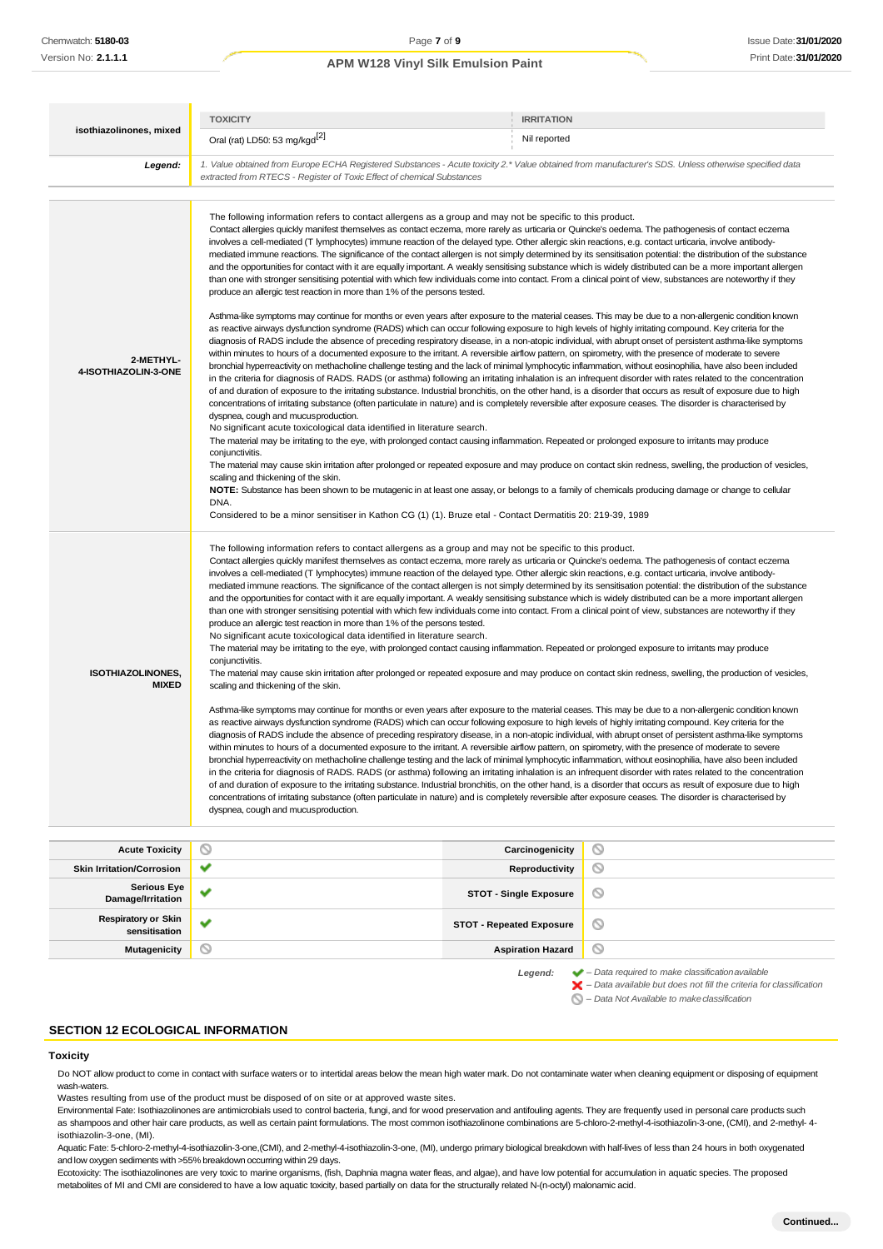|                                          | <b>TOXICITY</b>                                                                                                                                                                                                                                                                                                                                                                                                                                                                                                                                                                                                                                                                                                                                                                                                                                                                                                                                                                                                                                                                                                                                                                                                                                                                                                                                                                                                                                                                                                                                                                                                                                                                                                                                                                                                                                                                                                                                                                                                                                                                                                                                                                                                                                                                                                                                                                                                                                                                                                                                                                                                                                                                                                                                                                                                                                                                                                                                                | <b>IRRITATION</b> |  |
|------------------------------------------|----------------------------------------------------------------------------------------------------------------------------------------------------------------------------------------------------------------------------------------------------------------------------------------------------------------------------------------------------------------------------------------------------------------------------------------------------------------------------------------------------------------------------------------------------------------------------------------------------------------------------------------------------------------------------------------------------------------------------------------------------------------------------------------------------------------------------------------------------------------------------------------------------------------------------------------------------------------------------------------------------------------------------------------------------------------------------------------------------------------------------------------------------------------------------------------------------------------------------------------------------------------------------------------------------------------------------------------------------------------------------------------------------------------------------------------------------------------------------------------------------------------------------------------------------------------------------------------------------------------------------------------------------------------------------------------------------------------------------------------------------------------------------------------------------------------------------------------------------------------------------------------------------------------------------------------------------------------------------------------------------------------------------------------------------------------------------------------------------------------------------------------------------------------------------------------------------------------------------------------------------------------------------------------------------------------------------------------------------------------------------------------------------------------------------------------------------------------------------------------------------------------------------------------------------------------------------------------------------------------------------------------------------------------------------------------------------------------------------------------------------------------------------------------------------------------------------------------------------------------------------------------------------------------------------------------------------------------|-------------------|--|
| isothiazolinones, mixed                  | Oral (rat) LD50: 53 mg/kgd <sup>[2]</sup>                                                                                                                                                                                                                                                                                                                                                                                                                                                                                                                                                                                                                                                                                                                                                                                                                                                                                                                                                                                                                                                                                                                                                                                                                                                                                                                                                                                                                                                                                                                                                                                                                                                                                                                                                                                                                                                                                                                                                                                                                                                                                                                                                                                                                                                                                                                                                                                                                                                                                                                                                                                                                                                                                                                                                                                                                                                                                                                      | Nil reported      |  |
| Legend:                                  | 1. Value obtained from Europe ECHA Registered Substances - Acute toxicity 2.* Value obtained from manufacturer's SDS. Unless otherwise specified data<br>extracted from RTECS - Register of Toxic Effect of chemical Substances                                                                                                                                                                                                                                                                                                                                                                                                                                                                                                                                                                                                                                                                                                                                                                                                                                                                                                                                                                                                                                                                                                                                                                                                                                                                                                                                                                                                                                                                                                                                                                                                                                                                                                                                                                                                                                                                                                                                                                                                                                                                                                                                                                                                                                                                                                                                                                                                                                                                                                                                                                                                                                                                                                                                |                   |  |
|                                          |                                                                                                                                                                                                                                                                                                                                                                                                                                                                                                                                                                                                                                                                                                                                                                                                                                                                                                                                                                                                                                                                                                                                                                                                                                                                                                                                                                                                                                                                                                                                                                                                                                                                                                                                                                                                                                                                                                                                                                                                                                                                                                                                                                                                                                                                                                                                                                                                                                                                                                                                                                                                                                                                                                                                                                                                                                                                                                                                                                |                   |  |
| 2-METHYL-<br>4-ISOTHIAZOLIN-3-ONE        | The following information refers to contact allergens as a group and may not be specific to this product.<br>Contact allergies quickly manifest themselves as contact eczema, more rarely as urticaria or Quincke's oedema. The pathogenesis of contact eczema<br>involves a cell-mediated (T lymphocytes) immune reaction of the delayed type. Other allergic skin reactions, e.g. contact urticaria, involve antibody-<br>mediated immune reactions. The significance of the contact allergen is not simply determined by its sensitisation potential: the distribution of the substance<br>and the opportunities for contact with it are equally important. A weakly sensitising substance which is widely distributed can be a more important allergen<br>than one with stronger sensitising potential with which few individuals come into contact. From a clinical point of view, substances are noteworthy if they<br>produce an allergic test reaction in more than 1% of the persons tested.<br>Asthma-like symptoms may continue for months or even years after exposure to the material ceases. This may be due to a non-allergenic condition known<br>as reactive airways dysfunction syndrome (RADS) which can occur following exposure to high levels of highly irritating compound. Key criteria for the<br>diagnosis of RADS include the absence of preceding respiratory disease, in a non-atopic individual, with abrupt onset of persistent asthma-like symptoms<br>within minutes to hours of a documented exposure to the irritant. A reversible airflow pattern, on spirometry, with the presence of moderate to severe<br>bronchial hyperreactivity on methacholine challenge testing and the lack of minimal lymphocytic inflammation, without eosinophilia, have also been included<br>in the criteria for diagnosis of RADS. RADS (or asthma) following an irritating inhalation is an infrequent disorder with rates related to the concentration<br>of and duration of exposure to the irritating substance. Industrial bronchitis, on the other hand, is a disorder that occurs as result of exposure due to high<br>concentrations of irritating substance (often particulate in nature) and is completely reversible after exposure ceases. The disorder is characterised by<br>dyspnea, cough and mucus production.<br>No significant acute toxicological data identified in literature search.<br>The material may be irritating to the eye, with prolonged contact causing inflammation. Repeated or prolonged exposure to irritants may produce<br>conjunctivitis.<br>The material may cause skin irritation after prolonged or repeated exposure and may produce on contact skin redness, swelling, the production of vesicles,<br>scaling and thickening of the skin.<br>NOTE: Substance has been shown to be mutagenic in at least one assay, or belongs to a family of chemicals producing damage or change to cellular |                   |  |
|                                          | DNA.<br>Considered to be a minor sensitiser in Kathon CG (1) (1). Bruze etal - Contact Dermatitis 20: 219-39, 1989                                                                                                                                                                                                                                                                                                                                                                                                                                                                                                                                                                                                                                                                                                                                                                                                                                                                                                                                                                                                                                                                                                                                                                                                                                                                                                                                                                                                                                                                                                                                                                                                                                                                                                                                                                                                                                                                                                                                                                                                                                                                                                                                                                                                                                                                                                                                                                                                                                                                                                                                                                                                                                                                                                                                                                                                                                             |                   |  |
| <b>ISOTHIAZOLINONES,</b><br><b>MIXED</b> | The following information refers to contact allergens as a group and may not be specific to this product.<br>Contact allergies quickly manifest themselves as contact eczema, more rarely as urticaria or Quincke's oedema. The pathogenesis of contact eczema<br>involves a cell-mediated (T lymphocytes) immune reaction of the delayed type. Other allergic skin reactions, e.g. contact urticaria, involve antibody-<br>mediated immune reactions. The significance of the contact allergen is not simply determined by its sensitisation potential: the distribution of the substance<br>and the opportunities for contact with it are equally important. A weakly sensitising substance which is widely distributed can be a more important allergen<br>than one with stronger sensitising potential with which few individuals come into contact. From a clinical point of view, substances are noteworthy if they<br>produce an allergic test reaction in more than 1% of the persons tested.<br>No significant acute toxicological data identified in literature search.<br>The material may be irritating to the eye, with prolonged contact causing inflammation. Repeated or prolonged exposure to irritants may produce<br>conjunctivitis.<br>The material may cause skin irritation after prolonged or repeated exposure and may produce on contact skin redness, swelling, the production of vesicles,<br>scaling and thickening of the skin.<br>Asthma-like symptoms may continue for months or even years after exposure to the material ceases. This may be due to a non-allergenic condition known<br>as reactive airways dysfunction syndrome (RADS) which can occur following exposure to high levels of highly irritating compound. Key criteria for the<br>diagnosis of RADS include the absence of preceding respiratory disease, in a non-atopic individual, with abrupt onset of persistent asthma-like symptoms<br>within minutes to hours of a documented exposure to the irritant. A reversible airflow pattern, on spirometry, with the presence of moderate to severe<br>bronchial hyperreactivity on methacholine challenge testing and the lack of minimal lymphocytic inflammation, without eosinophilia, have also been included<br>in the criteria for diagnosis of RADS. RADS (or asthma) following an irritating inhalation is an infrequent disorder with rates related to the concentration<br>of and duration of exposure to the irritating substance. Industrial bronchitis, on the other hand, is a disorder that occurs as result of exposure due to high<br>concentrations of irritating substance (often particulate in nature) and is completely reversible after exposure ceases. The disorder is characterised by<br>dyspnea, cough and mucus production.                                                                                                                                                     |                   |  |

| <b>Acute Toxicity</b>                       | $\circ$ | Carcinogenicity                 | ∾                                                                                                                                                                  |
|---------------------------------------------|---------|---------------------------------|--------------------------------------------------------------------------------------------------------------------------------------------------------------------|
| <b>Skin Irritation/Corrosion</b>            | ᢦ       | Reproductivity                  | O                                                                                                                                                                  |
| <b>Serious Eye</b><br>Damage/Irritation     | پ       | <b>STOT - Single Exposure</b>   | Ø                                                                                                                                                                  |
| <b>Respiratory or Skin</b><br>sensitisation | ັ       | <b>STOT - Repeated Exposure</b> | $\circ$                                                                                                                                                            |
| Mutagenicity                                | $\circ$ | <b>Aspiration Hazard</b>        | $\circ$                                                                                                                                                            |
|                                             |         | Legend:                         | $\blacktriangleright$ - Data required to make classification available<br>$\blacktriangleright$ - Data available but does not fill the criteria for classification |

*– Data Not Available to makeclassification*

# **SECTION 12 ECOLOGICAL INFORMATION**

#### <span id="page-6-0"></span>**Toxicity**

Do NOT allow product to come in contact with surface waters or to intertidal areas below the mean high water mark. Do not contaminate water when cleaning equipment or disposing of equipment wash-waters.

Wastes resulting from use of the product must be disposed of on site or at approved waste sites.

Environmental Fate: Isothiazolinones are antimicrobials used to control bacteria, fungi, and for wood preservation and antifouling agents. They are frequently used in personal care products such as shampoos and other hair care products, as well as certain paint formulations. The most common isothiazolinone combinations are 5-chloro-2-methyl-4-isothiazolin-3-one, (CMI), and 2-methyl- 4 isothiazolin-3-one, (MI).

Aquatic Fate: 5-chloro-2-methyl-4-isothiazolin-3-one,(CMI), and 2-methyl-4-isothiazolin-3-one, (MI), undergo primary biological breakdown with half-lives of less than 24 hours in both oxygenated and low oxygen sediments with >55% breakdown occurring within 29 days.

Ecotoxicity: The isothiazolinones are very toxic to marine organisms, (fish, Daphnia magna water fleas, and algae), and have low potential for accumulation in aquatic species. The proposed metabolites of MI and CMI are considered to have a low aquatic toxicity, based partially on data for the structurally related N-(n-octyl) malonamic acid.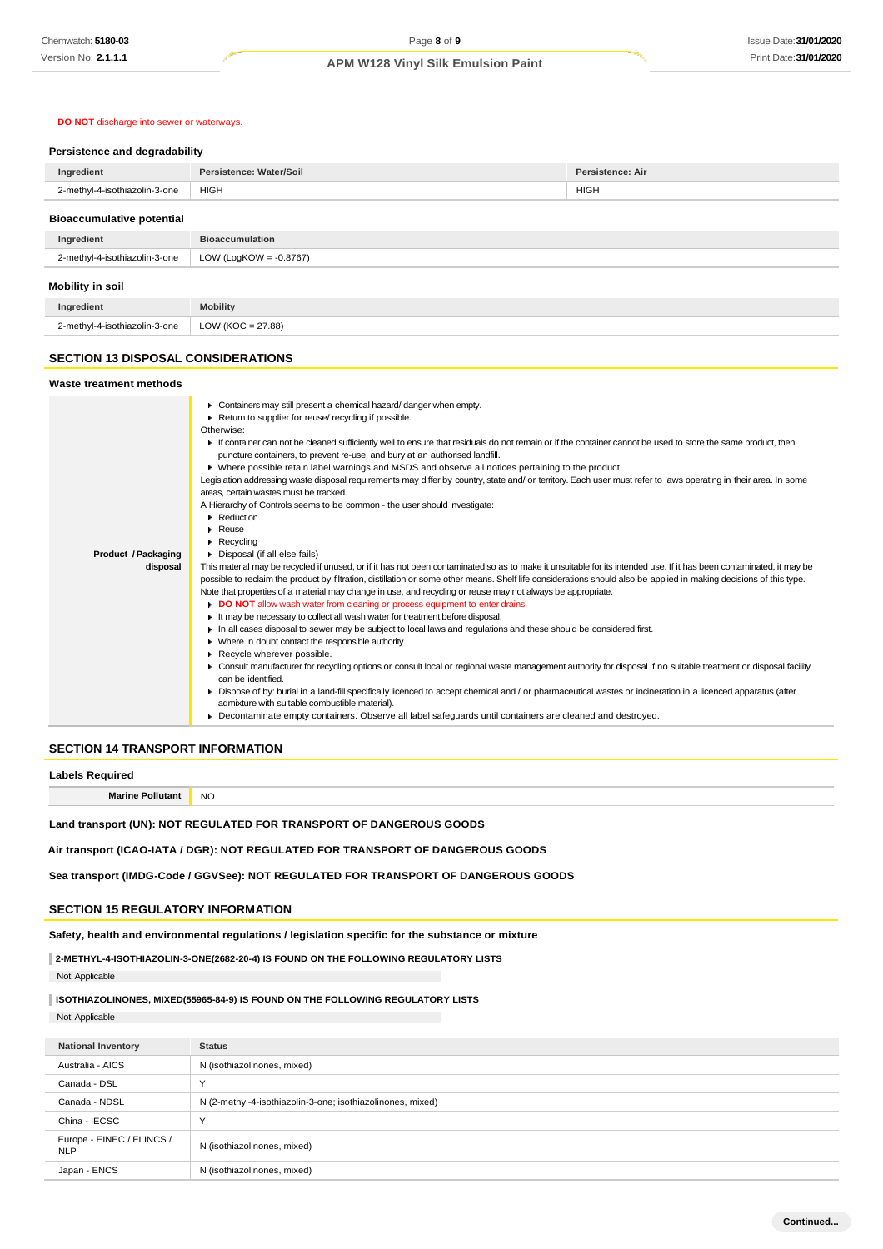### **DO NOT** discharge into sewer or waterways.

#### **Persistence and degradability**

| Ingredient                       | Persistence: Water/Soil   | Persistence: Air |
|----------------------------------|---------------------------|------------------|
| 2-methyl-4-isothiazolin-3-one    | <b>HIGH</b>               | <b>HIGH</b>      |
| <b>Bioaccumulative potential</b> |                           |                  |
| Ingredient                       | <b>Bioaccumulation</b>    |                  |
| 2-methyl-4-isothiazolin-3-one    | LOW (LogKOW = $-0.8767$ ) |                  |
| Mobility in soil                 |                           |                  |
| Ingredient                       | <b>Mobility</b>           |                  |
| 2-methyl-4-isothiazolin-3-one    | $LOW (KOC = 27.88)$       |                  |

#### **SECTION 13 DISPOSAL CONSIDERATIONS**

| Waste treatment methods |                                                                                                                                                                      |  |
|-------------------------|----------------------------------------------------------------------------------------------------------------------------------------------------------------------|--|
|                         | Containers may still present a chemical hazard/danger when empty.                                                                                                    |  |
|                         | Return to supplier for reuse/ recycling if possible.                                                                                                                 |  |
|                         | Otherwise:                                                                                                                                                           |  |
|                         | If container can not be cleaned sufficiently well to ensure that residuals do not remain or if the container cannot be used to store the same product, then          |  |
|                         | puncture containers, to prevent re-use, and bury at an authorised landfill.                                                                                          |  |
|                         | ▶ Where possible retain label warnings and MSDS and observe all notices pertaining to the product.                                                                   |  |
|                         | Legislation addressing waste disposal requirements may differ by country, state and/ or territory. Each user must refer to laws operating in their area. In some     |  |
|                         | areas, certain wastes must be tracked.                                                                                                                               |  |
|                         | A Hierarchy of Controls seems to be common - the user should investigate:                                                                                            |  |
|                         | Reduction                                                                                                                                                            |  |
|                         | $\triangleright$ Reuse                                                                                                                                               |  |
|                         | $\blacktriangleright$ Recycling                                                                                                                                      |  |
| Product / Packaging     | Disposal (if all else fails)                                                                                                                                         |  |
| disposal                | This material may be recycled if unused, or if it has not been contaminated so as to make it unsuitable for its intended use. If it has been contaminated, it may be |  |
|                         | possible to reclaim the product by filtration, distillation or some other means. Shelf life considerations should also be applied in making decisions of this type.  |  |
|                         | Note that properties of a material may change in use, and recycling or reuse may not always be appropriate.                                                          |  |
|                         | DO NOT allow wash water from cleaning or process equipment to enter drains.                                                                                          |  |
|                         | It may be necessary to collect all wash water for treatment before disposal.                                                                                         |  |
|                         | In all cases disposal to sewer may be subject to local laws and regulations and these should be considered first.                                                    |  |
|                         | • Where in doubt contact the responsible authority.                                                                                                                  |  |
|                         | Recycle wherever possible.                                                                                                                                           |  |
|                         | • Consult manufacturer for recycling options or consult local or regional waste management authority for disposal if no suitable treatment or disposal facility      |  |
|                         | can be identified.                                                                                                                                                   |  |
|                         | ▶ Dispose of by: burial in a land-fill specifically licenced to accept chemical and / or pharmaceutical wastes or incineration in a licenced apparatus (after        |  |
|                         | admixture with suitable combustible material).                                                                                                                       |  |
|                         | • Decontaminate empty containers. Observe all label safeguards until containers are cleaned and destroyed.                                                           |  |

### **SECTION 14 TRANSPORT INFORMATION**

| <b>Labels Required</b>                                                             |           |
|------------------------------------------------------------------------------------|-----------|
| <b>Marine Pollutant</b>                                                            | <b>NO</b> |
| Land transport (UN): NOT REGULATED FOR TRANSPORT OF DANGEROUS GOODS                |           |
| Air transport (ICAO-IATA / DGR): NOT REGULATED FOR TRANSPORT OF DANGEROUS GOODS    |           |
| Sea transport (IMDG-Code / GGVSee): NOT REGULATED FOR TRANSPORT OF DANGEROUS GOODS |           |

# **SECTION 15 REGULATORY INFORMATION**

**Safety, health and environmental regulations / legislation specific for the substance or mixture**

**2-METHYL-4-ISOTHIAZOLIN-3-ONE(2682-20-4) IS FOUND ON THE FOLLOWING REGULATORY LISTS**

Not Applicable

## **ISOTHIAZOLINONES, MIXED(55965-84-9) IS FOUND ON THE FOLLOWING REGULATORY LISTS**

Not Applicable

| <b>National Inventory</b>               | <b>Status</b>                                              |
|-----------------------------------------|------------------------------------------------------------|
| Australia - AICS                        | N (isothiazolinones, mixed)                                |
| Canada - DSL                            | $\checkmark$                                               |
| Canada - NDSL                           | N (2-methyl-4-isothiazolin-3-one; isothiazolinones, mixed) |
| China - IECSC                           | $\checkmark$                                               |
| Europe - EINEC / ELINCS /<br><b>NLP</b> | N (isothiazolinones, mixed)                                |
| Japan - ENCS                            | N (isothiazolinones, mixed)                                |